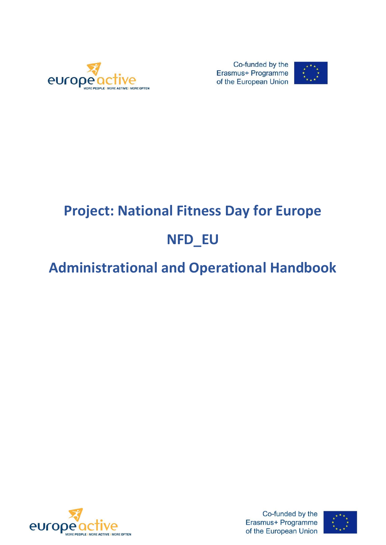

Co-funded by the Erasmus+ Programme of the European Union



# **Project: National Fitness Day for Europe**

# **NFD\_EU**

# **Administrational and Operational Handbook**



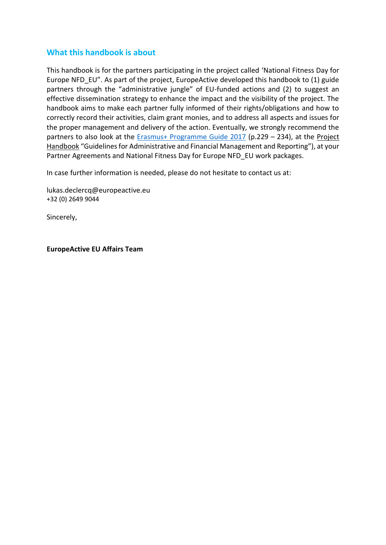#### **What this handbook is about**

This handbook is for the partners participating in the project called 'National Fitness Day for Europe NFD\_EU". As part of the project, EuropeActive developed this handbook to (1) guide partners through the "administrative jungle" of EU-funded actions and (2) to suggest an effective dissemination strategy to enhance the impact and the visibility of the project. The handbook aims to make each partner fully informed of their rights/obligations and how to correctly record their activities, claim grant monies, and to address all aspects and issues for the proper management and delivery of the action. Eventually, we strongly recommend the partners to also look at the **Erasmus+ Programme Guide 2017** (p.229 - 234), at the Project [Handbook](http://eacea.ec.europa.eu/LLP/beneficiaries/2013/reporting_lifelong_learning_2013_en.php) "Guidelines for Administrative and Financial Management and Reporting"), at your Partner Agreements and National Fitness Day for Europe NFD\_EU work packages.

In case further information is needed, please do not hesitate to contact us at:

lukas.declercq@europeactive.eu +32 (0) 2649 9044

Sincerely,

**EuropeActive EU Affairs Team**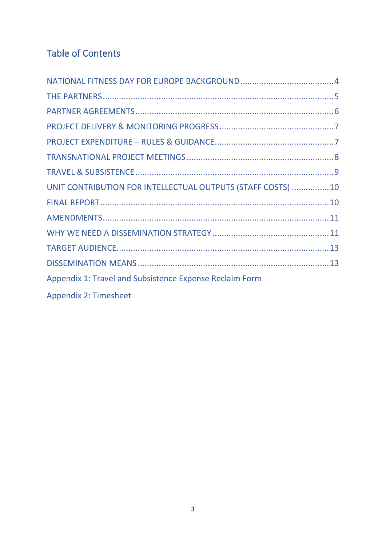# Table of Contents

| UNIT CONTRIBUTION FOR INTELLECTUAL OUTPUTS (STAFF COSTS)  10 |  |
|--------------------------------------------------------------|--|
|                                                              |  |
|                                                              |  |
|                                                              |  |
|                                                              |  |
|                                                              |  |
| Appendix 1: Travel and Subsistence Expense Reclaim Form      |  |
| <b>Appendix 2: Timesheet</b>                                 |  |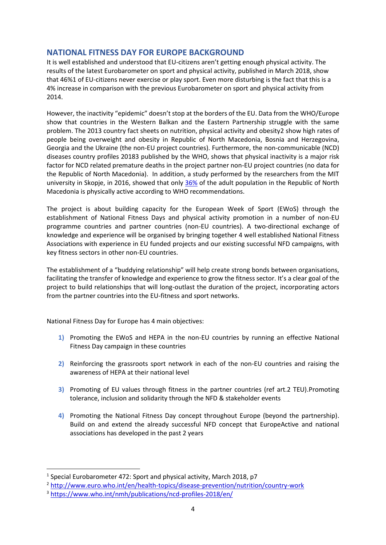#### <span id="page-3-0"></span>**NATIONAL FITNESS DAY FOR EUROPE BACKGROUND**

It is well established and understood that EU-citizens aren't getting enough physical activity. The results of the latest Eurobarometer on sport and physical activity, published in March 2018, show that 46%1 of EU-citizens never exercise or play sport. Even more disturbing is the fact that this is a 4% increase in comparison with the previous Eurobarometer on sport and physical activity from 2014.

However, the inactivity "epidemic" doesn't stop at the borders of the EU. Data from the WHO/Europe show that countries in the Western Balkan and the Eastern Partnership struggle with the same problem. The 2013 country fact sheets on nutrition, physical activity and obesity2 show high rates of people being overweight and obesity in Republic of North Macedonia, Bosnia and Herzegovina, Georgia and the Ukraine (the non-EU project countries). Furthermore, the non-communicable (NCD) diseases country profiles 20183 published by the WHO, shows that physical inactivity is a major risk factor for NCD related premature deaths in the project partner non-EU project countries (no data for the Republic of North Macedonia). In addition, a study performed by the researchers from the MIT university in Skopje, in 2016, showed that only [36%](http://fsprm.mk/wp-content/uploads/2017/01/Pages-from-APES_2_2016_AVGUST_web-22.pdf) of the adult population in the Republic of North Macedonia is physically active according to WHO recommendations.

The project is about building capacity for the European Week of Sport (EWoS) through the establishment of National Fitness Days and physical activity promotion in a number of non-EU programme countries and partner countries (non-EU countries). A two-directional exchange of knowledge and experience will be organised by bringing together 4 well established National Fitness Associations with experience in EU funded projects and our existing successful NFD campaigns, with key fitness sectors in other non-EU countries.

The establishment of a "buddying relationship" will help create strong bonds between organisations, facilitating the transfer of knowledge and experience to grow the fitness sector. It's a clear goal of the project to build relationships that will long-outlast the duration of the project, incorporating actors from the partner countries into the EU-fitness and sport networks.

National Fitness Day for Europe has 4 main objectives:

- **1)** Promoting the EWoS and HEPA in the non-EU countries by running an effective National Fitness Day campaign in these countries
- **2)** Reinforcing the grassroots sport network in each of the non-EU countries and raising the awareness of HEPA at their national level
- **3)** Promoting of EU values through fitness in the partner countries (ref art.2 TEU).Promoting tolerance, inclusion and solidarity through the NFD & stakeholder events
- **4)** Promoting the National Fitness Day concept throughout Europe (beyond the partnership). Build on and extend the already successful NFD concept that EuropeActive and national associations has developed in the past 2 years

<sup>&</sup>lt;sup>1</sup> Special Eurobarometer 472: Sport and physical activity, March 2018, p7

<sup>2</sup> <http://www.euro.who.int/en/health-topics/disease-prevention/nutrition/country-work>

<sup>3</sup> <https://www.who.int/nmh/publications/ncd-profiles-2018/en/>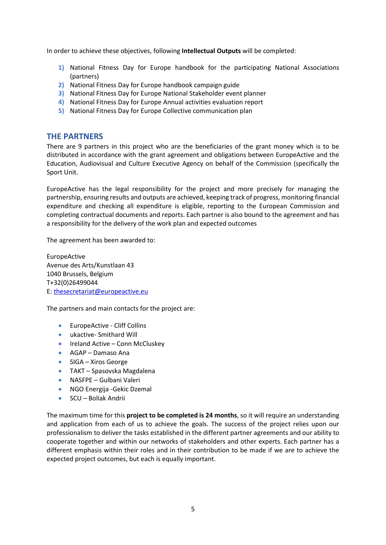In order to achieve these objectives, following **Intellectual Outputs** will be completed:

- **1)** National Fitness Day for Europe handbook for the participating National Associations (partners)
- **2)** National Fitness Day for Europe handbook campaign guide
- **3)** National Fitness Day for Europe National Stakeholder event planner
- **4)** National Fitness Day for Europe Annual activities evaluation report
- <span id="page-4-0"></span>**5)** National Fitness Day for Europe Collective communication plan

#### **THE PARTNERS**

There are 9 partners in this project who are the beneficiaries of the grant money which is to be distributed in accordance with the grant agreement and obligations between EuropeActive and the Education, Audiovisual and Culture Executive Agency on behalf of the Commission (specifically the Sport Unit.

EuropeActive has the legal responsibility for the project and more precisely for managing the partnership, ensuring results and outputs are achieved, keeping track of progress, monitoring financial expenditure and checking all expenditure is eligible, reporting to the European Commission and completing contractual documents and reports. Each partner is also bound to the agreement and has a responsibility for the delivery of the work plan and expected outcomes

The agreement has been awarded to:

EuropeActive Avenue des Arts/Kunstlaan 43 1040 Brussels, Belgium T+32(0)26499044 E: [thesecretariat@europeactive.eu](mailto:thesecretariat@europeactive.eu)

The partners and main contacts for the project are:

- EuropeActive Cliff Collins
- ukactive- Smithard Will
- Ireland Active Conn McCluskey
- AGAP Damaso Ana
- SIGA Xiros George
- TAKT Spasovska Magdalena
- NASFPE Gulbani Valeri
- NGO Energija Gekic Dzemal
- SCU Boliak Andrii

The maximum time for this **project to be completed is 24 months**, so it will require an understanding and application from each of us to achieve the goals. The success of the project relies upon our professionalism to deliver the tasks established in the different partner agreements and our ability to cooperate together and within our networks of stakeholders and other experts. Each partner has a different emphasis within their roles and in their contribution to be made if we are to achieve the expected project outcomes, but each is equally important.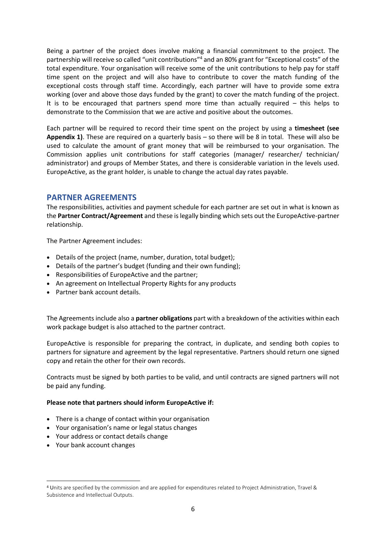Being a partner of the project does involve making a financial commitment to the project. The partnership will receive so called "unit contributions"<sup>4</sup> and an 80% grant for "Exceptional costs" of the total expenditure. Your organisation will receive some of the unit contributions to help pay for staff time spent on the project and will also have to contribute to cover the match funding of the exceptional costs through staff time. Accordingly, each partner will have to provide some extra working (over and above those days funded by the grant) to cover the match funding of the project. It is to be encouraged that partners spend more time than actually required – this helps to demonstrate to the Commission that we are active and positive about the outcomes.

Each partner will be required to record their time spent on the project by using a **timesheet (see Appendix 1)**. These are required on a quarterly basis – so there will be 8 in total. These will also be used to calculate the amount of grant money that will be reimbursed to your organisation. The Commission applies unit contributions for staff categories (manager/ researcher/ technician/ administrator) and groups of Member States, and there is considerable variation in the levels used. EuropeActive, as the grant holder, is unable to change the actual day rates payable.

#### <span id="page-5-0"></span>**PARTNER AGREEMENTS**

The responsibilities, activities and payment schedule for each partner are set out in what is known as the **Partner Contract/Agreement** and these is legally binding which sets out the EuropeActive-partner relationship.

The Partner Agreement includes:

- Details of the project (name, number, duration, total budget);
- Details of the partner's budget (funding and their own funding);
- Responsibilities of EuropeActive and the partner;
- An agreement on Intellectual Property Rights for any products
- Partner bank account details.

The Agreements include also a **partner obligations** part with a breakdown of the activities within each work package budget is also attached to the partner contract.

EuropeActive is responsible for preparing the contract, in duplicate, and sending both copies to partners for signature and agreement by the legal representative. Partners should return one signed copy and retain the other for their own records.

Contracts must be signed by both parties to be valid, and until contracts are signed partners will not be paid any funding.

#### **Please note that partners should inform EuropeActive if:**

- There is a change of contact within your organisation
- Your organisation's name or legal status changes
- Your address or contact details change
- Your bank account changes

<sup>4</sup> Units are specified by the commission and are applied for expenditures related to Project Administration, Travel & Subsistence and Intellectual Outputs.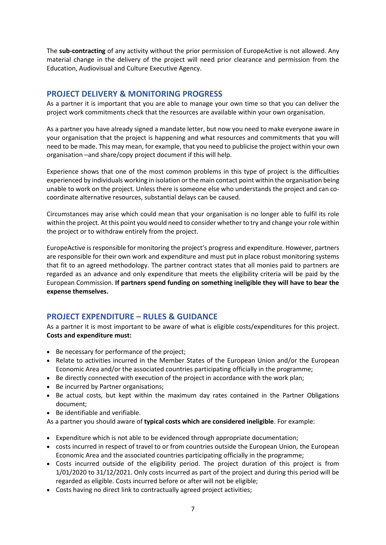The **sub-contracting** of any activity without the prior permission of EuropeActive is not allowed. Any material change in the delivery of the project will need prior clearance and permission from the Education, Audiovisual and Culture Executive Agency.

#### <span id="page-6-0"></span>**PROJECT DELIVERY & MONITORING PROGRESS**

As a partner it is important that you are able to manage your own time so that you can deliver the project work commitments check that the resources are available within your own organisation.

As a partner you have already signed a mandate letter, but now you need to make everyone aware in your organisation that the project is happening and what resources and commitments that you will need to be made. This may mean, for example, that you need to publicise the project within your own organisation –and share/copy project document if this will help.

Experience shows that one of the most common problems in this type of project is the difficulties experienced by individuals working in isolation or the main contact point within the organisation being unable to work on the project. Unless there is someone else who understands the project and can cocoordinate alternative resources, substantial delays can be caused.

Circumstances may arise which could mean that your organisation is no longer able to fulfil its role within the project. At this point you would need to consider whether to try and change your role within the project or to withdraw entirely from the project.

EuropeActive is responsible for monitoring the project's progress and expenditure. However, partners are responsible for their own work and expenditure and must put in place robust monitoring systems that fit to an agreed methodology. The partner contract states that all monies paid to partners are regarded as an advance and only expenditure that meets the eligibility criteria will be paid by the European Commission. **If partners spend funding on something ineligible they will have to bear the expense themselves.** 

#### <span id="page-6-1"></span>**PROJECT EXPENDITURE – RULES & GUIDANCE**

As a partner it is most important to be aware of what is eligible costs/expenditures for this project. **Costs and expenditure must:**

- Be necessary for performance of the project;
- Relate to activities incurred in the Member States of the European Union and/or the European Economic Area and/or the associated countries participating officially in the programme;
- Be directly connected with execution of the project in accordance with the work plan;
- Be incurred by Partner organisations;
- Be actual costs, but kept within the maximum day rates contained in the Partner Obligations document;
- Be identifiable and verifiable.

As a partner you should aware of **typical costs which are considered ineligible**. For example:

- Expenditure which is not able to be evidenced through appropriate documentation;
- costs incurred in respect of travel to or from countries outside the European Union, the European Economic Area and the associated countries participating officially in the programme;
- Costs incurred outside of the eligibility period. The project duration of this project is from 1/01/2020 to 31/12/2021. Only costs incurred as part of the project and during this period will be regarded as eligible. Costs incurred before or after will not be eligible;
- Costs having no direct link to contractually agreed project activities;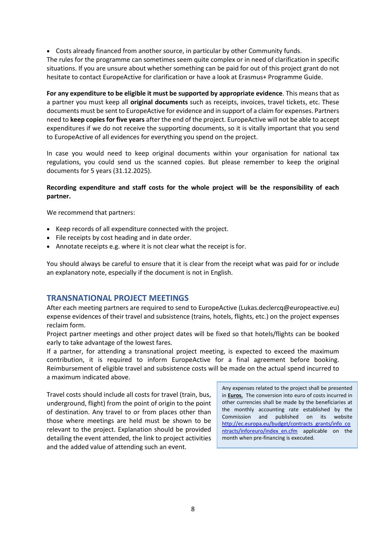• Costs already financed from another source, in particular by other Community funds.

The rules for the programme can sometimes seem quite complex or in need of clarification in specific situations. If you are unsure about whether something can be paid for out of this project grant do not hesitate to contact EuropeActive for clarification or have a look at Erasmus+ Programme Guide.

**For any expenditure to be eligible it must be supported by appropriate evidence**. This means that as a partner you must keep all **original documents** such as receipts, invoices, travel tickets, etc. These documents must be sent to EuropeActive for evidence and in support of a claim for expenses. Partners need to **keep copies for five years** after the end of the project. EuropeActive will not be able to accept expenditures if we do not receive the supporting documents, so it is vitally important that you send to EuropeActive of all evidences for everything you spend on the project.

In case you would need to keep original documents within your organisation for national tax regulations, you could send us the scanned copies. But please remember to keep the original documents for 5 years (31.12.2025).

#### **Recording expenditure and staff costs for the whole project will be the responsibility of each partner.**

We recommend that partners:

- Keep records of all expenditure connected with the project.
- File receipts by cost heading and in date order.
- Annotate receipts e.g. where it is not clear what the receipt is for.

You should always be careful to ensure that it is clear from the receipt what was paid for or include an explanatory note, especially if the document is not in English.

#### <span id="page-7-0"></span>**TRANSNATIONAL PROJECT MEETINGS**

After each meeting partners are required to send to EuropeActive (Lukas.declercq@europeactive.eu) expense evidences of their travel and subsistence (trains, hotels, flights, etc.) on the project expenses reclaim form.

Project partner meetings and other project dates will be fixed so that hotels/flights can be booked early to take advantage of the lowest fares.

If a partner, for attending a transnational project meeting, is expected to exceed the maximum contribution, it is required to inform EuropeActive for a final agreement before booking. Reimbursement of eligible travel and subsistence costs will be made on the actual spend incurred to a maximum indicated above.

Travel costs should include all costs for travel (train, bus, underground, flight) from the point of origin to the point of destination. Any travel to or from places other than those where meetings are held must be shown to be relevant to the project. Explanation should be provided detailing the event attended, the link to project activities and the added value of attending such an event.

Any expenses related to the project shall be presented in **Euros.** The conversion into euro of costs incurred in other currencies shall be made by the beneficiaries at the monthly accounting rate established by the Commission and published on its website [http://ec.europa.eu/budget/contracts\\_grants/info\\_co](http://ec.europa.eu/budget/contracts_grants/info_contracts/inforeuro/index_en.cfm) ntracts/inforeuro/index en.cfm applicable on the month when pre-financing is executed.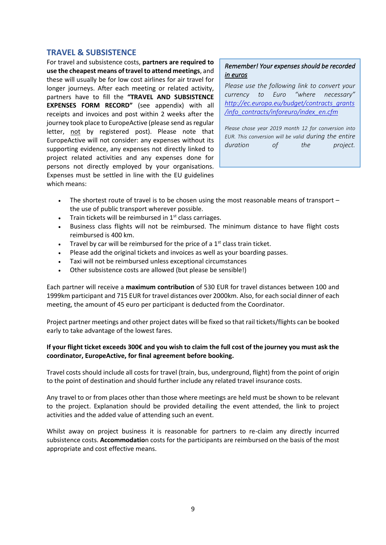#### <span id="page-8-0"></span>**TRAVEL & SUBSISTENCE**

For travel and subsistence costs, **partners are required to use the cheapest means of travel to attend meetings**, and these will usually be for low cost airlines for air travel for longer journeys. After each meeting or related activity, partners have to fill the **"TRAVEL AND SUBSISTENCE EXPENSES FORM RECORD"** (see appendix) with all receipts and invoices and post within 2 weeks after the journey took place to EuropeActive (please send as regular letter, not by registered post). Please note that EuropeActive will not consider: any expenses without its supporting evidence, any expenses not directly linked to project related activities and any expenses done for persons not directly employed by your organisations. Expenses must be settled in line with the EU guidelines which means:

#### *Remember! Your expenses should be recorded in euros*

*Please use the following link to convert your currency to Euro "where necessary" [http://ec.europa.eu/budget/contracts\\_grants](http://ec.europa.eu/budget/contracts_grants/info_contracts/inforeuro/index_en.cfm) [/info\\_contracts/inforeuro/index\\_en.cfm](http://ec.europa.eu/budget/contracts_grants/info_contracts/inforeuro/index_en.cfm)*

*Please chose year 2019 month 12 for conversion into EUR. This conversion will be valid during the entire duration of the project.*

- The shortest route of travel is to be chosen using the most reasonable means of transport the use of public transport wherever possible.
- Train tickets will be reimbursed in  $1<sup>st</sup>$  class carriages.
- Business class flights will not be reimbursed. The minimum distance to have flight costs reimbursed is 400 km.
- Travel by car will be reimbursed for the price of a  $1<sup>st</sup>$  class train ticket.
- Please add the original tickets and invoices as well as your boarding passes.
- Taxi will not be reimbursed unless exceptional circumstances
- Other subsistence costs are allowed (but please be sensible!)

Each partner will receive a **maximum contribution** of 530 EUR for travel distances between 100 and 1999km participant and 715 EUR for travel distances over 2000km. Also, for each social dinner of each meeting, the amount of 45 euro per participant is deducted from the Coordinator.

Project partner meetings and other project dates will be fixed so that rail tickets/flights can be booked early to take advantage of the lowest fares.

#### **If your flight ticket exceeds 300€ and you wish to claim the full cost of the journey you must ask the coordinator, EuropeActive, for final agreement before booking.**

Travel costs should include all costs for travel (train, bus, underground, flight) from the point of origin to the point of destination and should further include any related travel insurance costs.

Any travel to or from places other than those where meetings are held must be shown to be relevant to the project. Explanation should be provided detailing the event attended, the link to project activities and the added value of attending such an event.

Whilst away on project business it is reasonable for partners to re-claim any directly incurred subsistence costs. **Accommodatio**n costs for the participants are reimbursed on the basis of the most appropriate and cost effective means.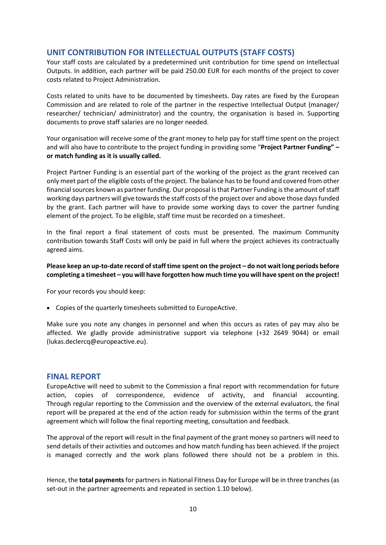#### <span id="page-9-0"></span>**UNIT CONTRIBUTION FOR INTELLECTUAL OUTPUTS (STAFF COSTS)**

Your staff costs are calculated by a predetermined unit contribution for time spend on Intellectual Outputs. In addition, each partner will be paid 250.00 EUR for each months of the project to cover costs related to Project Administration.

Costs related to units have to be documented by timesheets. Day rates are fixed by the European Commission and are related to role of the partner in the respective Intellectual Output (manager/ researcher/ technician/ administrator) and the country, the organisation is based in. Supporting documents to prove staff salaries are no longer needed.

Your organisation will receive some of the grant money to help pay for staff time spent on the project and will also have to contribute to the project funding in providing some "**Project Partner Funding" – or match funding as it is usually called.**

Project Partner Funding is an essential part of the working of the project as the grant received can only meet part of the eligible costs of the project. The balance has to be found and covered from other financial sources known as partner funding. Our proposal is that Partner Funding is the amount of staff working days partners will give towards the staff costs of the project over and above those days funded by the grant. Each partner will have to provide some working days to cover the partner funding element of the project. To be eligible, staff time must be recorded on a timesheet.

In the final report a final statement of costs must be presented. The maximum Community contribution towards Staff Costs will only be paid in full where the project achieves its contractually agreed aims.

#### **Please keep an up-to-date record of staff time spent on the project – do not wait long periods before completing a timesheet – you will have forgotten how much time you will have spent on the project!**

For your records you should keep:

• Copies of the quarterly timesheets submitted to EuropeActive.

Make sure you note any changes in personnel and when this occurs as rates of pay may also be affected. We gladly provide administrative support via telephone (+32 2649 9044) or email (lukas.declercq@europeactive.eu).

#### <span id="page-9-1"></span>**FINAL REPORT**

EuropeActive will need to submit to the Commission a final report with recommendation for future action, copies of correspondence, evidence of activity, and financial accounting. Through regular reporting to the Commission and the overview of the external evaluators, the final report will be prepared at the end of the action ready for submission within the terms of the grant agreement which will follow the final reporting meeting, consultation and feedback.

The approval of the report will result in the final payment of the grant money so partners will need to send details of their activities and outcomes and how match funding has been achieved. If the project is managed correctly and the work plans followed there should not be a problem in this.

Hence, the **total payments** for partners in National Fitness Day for Europe will be in three tranches (as set-out in the partner agreements and repeated in section 1.10 below).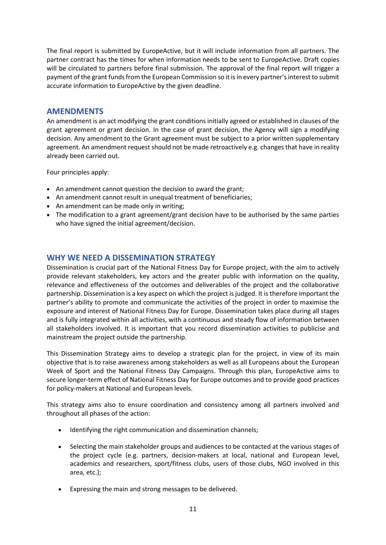The final report is submitted by EuropeActive, but it will include information from all partners. The partner contract has the times for when information needs to be sent to EuropeActive. Draft copies will be circulated to partners before final submission. The approval of the final report will trigger a payment of the grant funds from the European Commission so it is in every partner's interest to submit accurate information to EuropeActive by the given deadline.

#### <span id="page-10-0"></span>**AMENDMENTS**

An amendment is an act modifying the grant conditions initially agreed or established in clauses of the grant agreement or grant decision. In the case of grant decision, the Agency will sign a modifying decision. Any amendment to the Grant agreement must be subject to a prior written supplementary agreement. An amendment request should not be made retroactively e.g. changes that have in reality already been carried out.

Four principles apply:

- An amendment cannot question the decision to award the grant;
- An amendment cannot result in unequal treatment of beneficiaries;
- An amendment can be made only in writing;
- The modification to a grant agreement/grant decision have to be authorised by the same parties who have signed the initial agreement/decision.

#### <span id="page-10-1"></span>**WHY WE NEED A DISSEMINATION STRATEGY**

Dissemination is crucial part of the National Fitness Day for Europe project, with the aim to actively provide relevant stakeholders, key actors and the greater public with information on the quality, relevance and effectiveness of the outcomes and deliverables of the project and the collaborative partnership. Dissemination is a key aspect on which the project is judged. It is therefore important the partner's ability to promote and communicate the activities of the project in order to maximise the exposure and interest of National Fitness Day for Europe. Dissemination takes place during all stages and is fully integrated within all activities, with a continuous and steady flow of information between all stakeholders involved. It is important that you record dissemination activities to publicise and mainstream the project outside the partnership.

This Dissemination Strategy aims to develop a strategic plan for the project, in view of its main objective that is to raise awareness among stakeholders as well as all Europeans about the European Week of Sport and the National Fitness Day Campaigns. Through this plan, EuropeActive aims to secure longer-term effect of National Fitness Day for Europe outcomes and to provide good practices for policy-makers at National and European levels.

This strategy aims also to ensure coordination and consistency among all partners involved and throughout all phases of the action:

- Identifying the right communication and dissemination channels;
- Selecting the main stakeholder groups and audiences to be contacted at the various stages of the project cycle (e.g. partners, decision-makers at local, national and European level, academics and researchers, sport/fitness clubs, users of those clubs, NGO involved in this area, etc.);
- Expressing the main and strong messages to be delivered.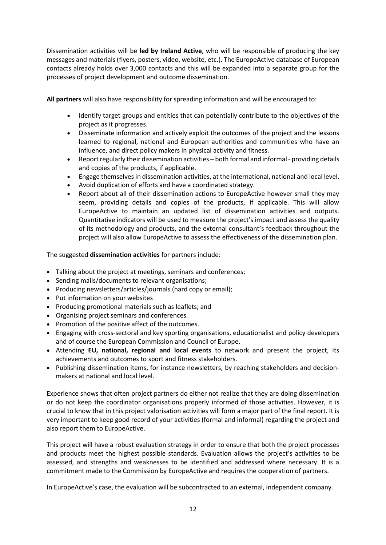Dissemination activities will be **led by Ireland Active**, who will be responsible of producing the key messages and materials (flyers, posters, video, website, etc.). The EuropeActive database of European contacts already holds over 3,000 contacts and this will be expanded into a separate group for the processes of project development and outcome dissemination.

**All partners** will also have responsibility for spreading information and will be encouraged to:

- Identify target groups and entities that can potentially contribute to the objectives of the project as it progresses.
- Disseminate information and actively exploit the outcomes of the project and the lessons learned to regional, national and European authorities and communities who have an influence, and direct policy makers in physical activity and fitness.
- Report regularly their dissemination activities both formal and informal providing details and copies of the products, if applicable.
- Engage themselves in dissemination activities, at the international, national and local level.
- Avoid duplication of efforts and have a coordinated strategy.
- Report about all of their dissemination actions to EuropeActive however small they may seem, providing details and copies of the products, if applicable. This will allow EuropeActive to maintain an updated list of dissemination activities and outputs. Quantitative indicators will be used to measure the project's impact and assess the quality of its methodology and products, and the external consultant's feedback throughout the project will also allow EuropeActive to assess the effectiveness of the dissemination plan.

The suggested **dissemination activities** for partners include:

- Talking about the project at meetings, seminars and conferences;
- Sending mails/documents to relevant organisations;
- Producing newsletters/articles/journals (hard copy or email);
- Put information on your websites
- Producing promotional materials such as leaflets; and
- Organising project seminars and conferences.
- Promotion of the positive affect of the outcomes.
- Engaging with cross-sectoral and key sporting organisations, educationalist and policy developers and of course the European Commission and Council of Europe.
- Attending **EU, national, regional and local events** to network and present the project, its achievements and outcomes to sport and fitness stakeholders.
- Publishing dissemination items, for instance newsletters, by reaching stakeholders and decisionmakers at national and local level.

Experience shows that often project partners do either not realize that they are doing dissemination or do not keep the coordinator organisations properly informed of those activities. However, it is crucial to know that in this project valorisation activities will form a major part of the final report. It is very important to keep good record of your activities (formal and informal) regarding the project and also report them to EuropeActive.

This project will have a robust evaluation strategy in order to ensure that both the project processes and products meet the highest possible standards. Evaluation allows the project's activities to be assessed, and strengths and weaknesses to be identified and addressed where necessary. It is a commitment made to the Commission by EuropeActive and requires the cooperation of partners.

In EuropeActive's case, the evaluation will be subcontracted to an external, independent company.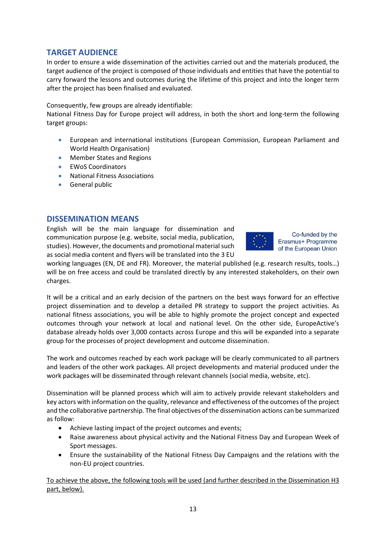#### <span id="page-12-0"></span>**TARGET AUDIENCE**

In order to ensure a wide dissemination of the activities carried out and the materials produced, the target audience of the project is composed of those individuals and entities that have the potential to carry forward the lessons and outcomes during the lifetime of this project and into the longer term after the project has been finalised and evaluated.

Consequently, few groups are already identifiable:

National Fitness Day for Europe project will address, in both the short and long-term the following target groups:

- European and international institutions (European Commission, European Parliament and World Health Organisation)
- Member States and Regions
- EWoS Coordinators
- National Fitness Associations
- General public

#### <span id="page-12-1"></span>**DISSEMINATION MEANS**

English will be the main language for dissemination and communication purpose (e.g. website, social media, publication, studies). However, the documents and promotional material such as social media content and flyers will be translated into the 3 EU



Co-funded by the Erasmus+ Programme of the European Union

working languages (EN, DE and FR). Moreover, the material published (e.g. research results, tools…) will be on free access and could be translated directly by any interested stakeholders, on their own charges.

It will be a critical and an early decision of the partners on the best ways forward for an effective project dissemination and to develop a detailed PR strategy to support the project activities. As national fitness associations, you will be able to highly promote the project concept and expected outcomes through your network at local and national level. On the other side, EuropeActive's database already holds over 3,000 contacts across Europe and this will be expanded into a separate group for the processes of project development and outcome dissemination.

The work and outcomes reached by each work package will be clearly communicated to all partners and leaders of the other work packages. All project developments and material produced under the work packages will be disseminated through relevant channels (social media, website, etc).

Dissemination will be planned process which will aim to actively provide relevant stakeholders and key actors with information on the quality, relevance and effectiveness of the outcomes of the project and the collaborative partnership. The final objectives of the dissemination actions can be summarized as follow:

- Achieve lasting impact of the project outcomes and events;
- Raise awareness about physical activity and the National Fitness Day and European Week of Sport messages.
- Ensure the sustainability of the National Fitness Day Campaigns and the relations with the non-EU project countries.

To achieve the above, the following tools will be used (and further described in the Dissemination H3 part, below).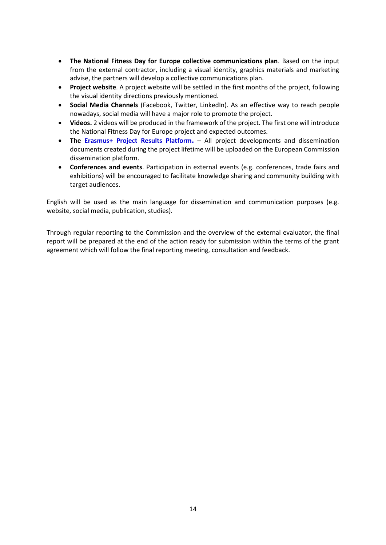- **The National Fitness Day for Europe collective communications plan**. Based on the input from the external contractor, including a visual identity, graphics materials and marketing advise, the partners will develop a collective communications plan.
- **Project website**. A project website will be settled in the first months of the project, following the visual identity directions previously mentioned.
- **Social Media Channels** (Facebook, Twitter, LinkedIn). As an effective way to reach people nowadays, social media will have a major role to promote the project.
- **Videos.** 2 videos will be produced in the framework of the project. The first one will introduce the National Fitness Day for Europe project and expected outcomes.
- **The [Erasmus+ Project Results Platform](http://ec.europa.eu/programmes/erasmus-plus/projects/).** All project developments and dissemination documents created during the project lifetime will be uploaded on the European Commission dissemination platform.
- **Conferences and events**. Participation in external events (e.g. conferences, trade fairs and exhibitions) will be encouraged to facilitate knowledge sharing and community building with target audiences.

English will be used as the main language for dissemination and communication purposes (e.g. website, social media, publication, studies).

Through regular reporting to the Commission and the overview of the external evaluator, the final report will be prepared at the end of the action ready for submission within the terms of the grant agreement which will follow the final reporting meeting, consultation and feedback.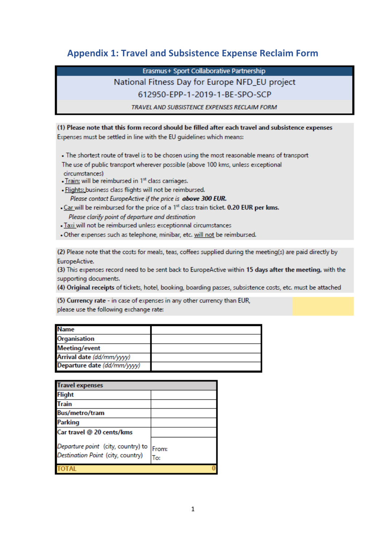### **Appendix 1: Travel and Subsistence Expense Reclaim Form**

Erasmus+ Sport Collaborative Partnership

### National Fitness Day for Europe NFD EU project

612950-EPP-1-2019-1-BE-SPO-SCP

TRAVEL AND SUBSISTENCE EXPENSES RECLAIM FORM

#### (1) Please note that this form record should be filled after each travel and subsistence expenses

Expenses must be settled in line with the EU guidelines which means:

- . The shortest route of travel is to be chosen using the most reasonable means of transport
- The use of public transport wherever possible (above 100 kms, unless exceptional circumstances)
- . Train: will be reimbursed in 1st class carriages.
- . Flights: business class flights will not be reimbursed. Please contact EuropeActive if the price is above 300 EUR.
- . Car will be reimbursed for the price of a 1st class train ticket. 0.20 EUR per kms. Please clarify point of departure and destination
- . Taxi will not be reimbursed unless exceptionnal circumstances
- . Other expenses such as telephone, minibar, etc. will not be reimbursed.

(2) Please note that the costs for meals, teas, coffees supplied during the meeting(s) are paid directly by EuropeActive.

(3) This expenses record need to be sent back to EuropeActive within 15 days after the meeting, with the supporting documents.

(4) Original receipts of tickets, hotel, booking, boarding passes, subsistence costs, etc. must be attached

(5) Currency rate - in case of expenses in any other currency than EUR, please use the following exchange rate:

| <b>Name</b>                 |  |
|-----------------------------|--|
| <b>Organisation</b>         |  |
| <b>Meeting/event</b>        |  |
| Arrival date (dd/mm/yyyy)   |  |
| Departure date (dd/mm/yyyy) |  |

| <b>Travel expenses</b>                                                  |              |  |  |
|-------------------------------------------------------------------------|--------------|--|--|
| <b>Flight</b>                                                           |              |  |  |
| Train                                                                   |              |  |  |
| <b>Bus/metro/tram</b>                                                   |              |  |  |
| <b>Parking</b>                                                          |              |  |  |
| Car travel @ 20 cents/kms                                               |              |  |  |
| Departure point (city, country) to<br>Destination Point (city, country) | From:<br>To: |  |  |
|                                                                         |              |  |  |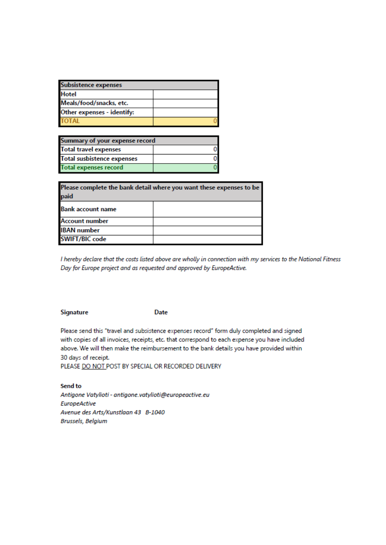| <b>Subsistence expenses</b> |  |  |
|-----------------------------|--|--|
| <b>Hotel</b>                |  |  |
| Meals/food/snacks, etc.     |  |  |
| Other expenses - identify:  |  |  |
| <b>TOTAL</b>                |  |  |

| Summary of your expense record    |  |  |  |
|-----------------------------------|--|--|--|
| <b>Total travel expenses</b>      |  |  |  |
| <b>Total susbistence expenses</b> |  |  |  |
| <b>Total expenses record</b>      |  |  |  |

| Please complete the bank detail where you want these expenses to be<br>paid |  |  |  |  |
|-----------------------------------------------------------------------------|--|--|--|--|
| <b>Bank account name</b>                                                    |  |  |  |  |
| <b>Account number</b>                                                       |  |  |  |  |
| <b>IBAN</b> number                                                          |  |  |  |  |
| <b>SWIFT/BIC code</b>                                                       |  |  |  |  |

I hereby declare that the costs listed above are wholly in connection with my services to the National Fitness Day for Europe project and as requested and approved by EuropeActive.

#### **Signature**

**Date** 

Please send this "travel and subsistence expenses record" form duly completed and signed with copies of all invoices, receipts, etc. that correspond to each expense you have included above. We will then make the reimbursement to the bank details you have provided within 30 days of receipt.

PLEASE DO NOT POST BY SPECIAL OR RECORDED DELIVERY

Send to Antigone Vatylioti - antigone.vatylioti@europeactive.eu **EuropeActive** Avenue des Arts/Kunstlaan 43 B-1040 Brussels, Belgium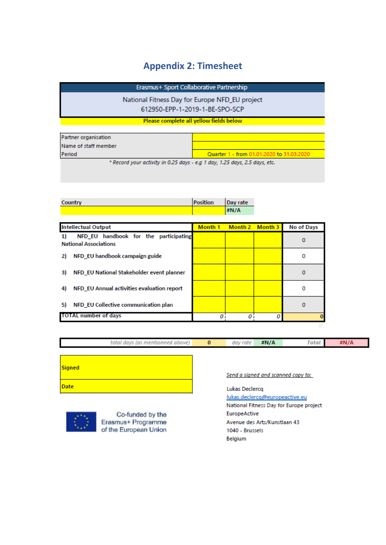## **Appendix 2: Timesheet**

Erasmus+ Sport Collaborative Partnership

National Fitness Day for Europe NFD\_EU project 612950-EPP-1-2019-1-BE-SPO-SCP

Please complete all yellow fields below

| Partner organisation |                                                                                             |
|----------------------|---------------------------------------------------------------------------------------------|
| Name of staff member |                                                                                             |
| Period               | Ouarter 1 - from 01.01.2020 to 31.03.2020                                                   |
|                      | A December 2012 and A College 2012 and the College 2012 and 2012 and 2012 and 2012 and 2012 |

Record your activity in 0.25 days - e.g 1 day, 1.25 days, 2.5 days, etc.

| Country | Position | Day rate |
|---------|----------|----------|
|         |          | #N/A     |

| <b>Intellectual Output</b>                                                  | Month 1 | Month 2 Month 3 | No of Days |
|-----------------------------------------------------------------------------|---------|-----------------|------------|
| NFD_EU handbook for the participating<br>1)<br><b>National Associations</b> |         |                 | 0          |
| NFD EU handbook campaign guide<br>2)                                        |         |                 | 0          |
| NFD EU National Stakeholder event planner<br>3)                             |         |                 | 0          |
| NFD_EU Annual activities evaluation report<br>4)                            |         |                 | o          |
| NFD EU Collective communication plan<br>5)                                  |         |                 | 0          |
| <b>TOTAL number of days</b>                                                 |         |                 |            |

|        | total days (as mentionned above)                                                           | $\bf{0}$                                | day rate                       | #N/A | <b>Total</b>                       | #N/A |
|--------|--------------------------------------------------------------------------------------------|-----------------------------------------|--------------------------------|------|------------------------------------|------|
|        |                                                                                            |                                         |                                |      |                                    |      |
| Signed |                                                                                            |                                         |                                |      |                                    |      |
|        |                                                                                            |                                         |                                |      | Send a signed and scanned copy to: |      |
| Date   |                                                                                            |                                         | Lukas Declercq                 |      |                                    |      |
|        |                                                                                            |                                         | lukas.declercq@europeactive.eu |      |                                    |      |
|        |                                                                                            | National Fitness Day for Europe project |                                |      |                                    |      |
|        | the property of the control of the control of the control of the control of the control of |                                         | ______                         |      |                                    |      |



Co-funded by the Erasmus+ Programme of the European Union

EuropeActive Avenue des Arts/Kunstlaan 43 1040 - Brussels Belgium